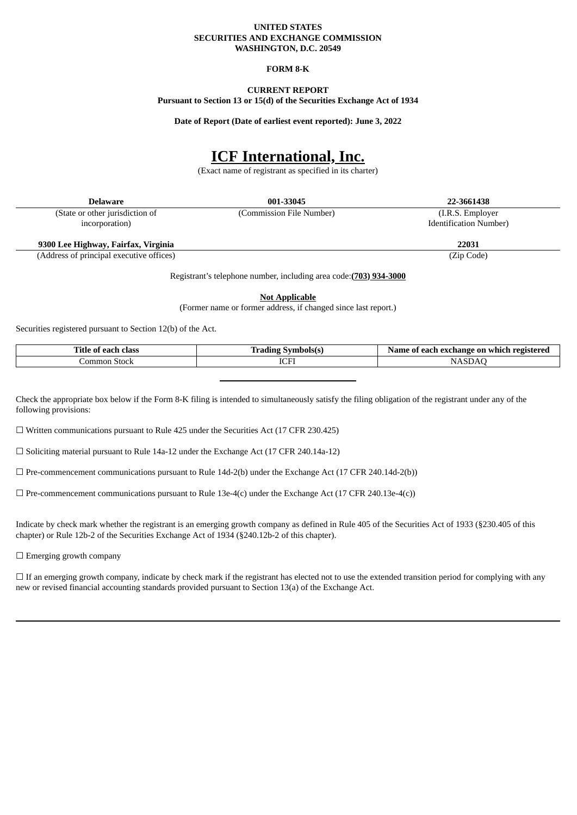#### **UNITED STATES SECURITIES AND EXCHANGE COMMISSION WASHINGTON, D.C. 20549**

### **FORM 8-K**

# **CURRENT REPORT**

**Pursuant to Section 13 or 15(d) of the Securities Exchange Act of 1934**

**Date of Report (Date of earliest event reported): June 3, 2022**

# **ICF International, Inc.**

(Exact name of registrant as specified in its charter)

| <b>Delaware</b>                          | 001-33045                | 22-3661438                     |
|------------------------------------------|--------------------------|--------------------------------|
| (State or other jurisdiction of          | (Commission File Number) | (I.R.S. Employer)              |
| incorporation)                           |                          | <b>Identification Number</b> ) |
| 9300 Lee Highway, Fairfax, Virginia      |                          | 22031                          |
| (Address of principal executive offices) |                          | (Zip Code)                     |

Registrant's telephone number, including area code:**(703) 934-3000**

**Not Applicable**

(Former name or former address, if changed since last report.)

Securities registered pursuant to Section 12(b) of the Act.

| . itle<br>class<br>01<br>-- | ahalala<br>----<br>ा ।<br>,,, | ı redistered<br>ongh<br>exchange<br>0n<br>which<br>ш<br> |
|-----------------------------|-------------------------------|----------------------------------------------------------|
| omn<br>Stock<br>$. \sim$    | <b>IOD</b><br>LCI             | N                                                        |

Check the appropriate box below if the Form 8-K filing is intended to simultaneously satisfy the filing obligation of the registrant under any of the following provisions:

☐ Written communications pursuant to Rule 425 under the Securities Act (17 CFR 230.425)

 $\Box$  Soliciting material pursuant to Rule 14a-12 under the Exchange Act (17 CFR 240.14a-12)

 $\Box$  Pre-commencement communications pursuant to Rule 14d-2(b) under the Exchange Act (17 CFR 240.14d-2(b))

 $\Box$  Pre-commencement communications pursuant to Rule 13e-4(c) under the Exchange Act (17 CFR 240.13e-4(c))

Indicate by check mark whether the registrant is an emerging growth company as defined in Rule 405 of the Securities Act of 1933 (§230.405 of this chapter) or Rule 12b-2 of the Securities Exchange Act of 1934 (§240.12b-2 of this chapter).

□ Emerging growth company

□ If an emerging growth company, indicate by check mark if the registrant has elected not to use the extended transition period for complying with any new or revised financial accounting standards provided pursuant to Section 13(a) of the Exchange Act.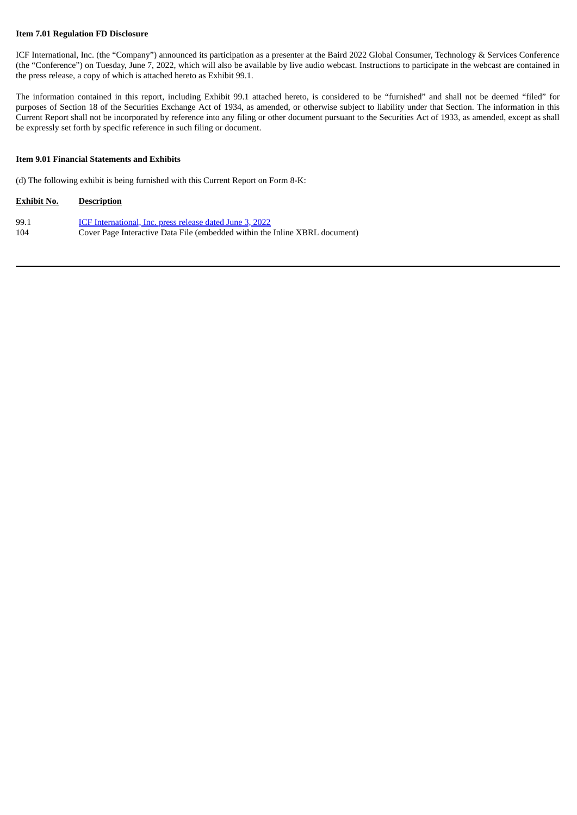#### **Item 7.01 Regulation FD Disclosure**

ICF International, Inc. (the "Company") announced its participation as a presenter at the Baird 2022 Global Consumer, Technology & Services Conference (the "Conference") on Tuesday, June 7, 2022, which will also be available by live audio webcast. Instructions to participate in the webcast are contained in the press release, a copy of which is attached hereto as Exhibit 99.1.

The information contained in this report, including Exhibit 99.1 attached hereto, is considered to be "furnished" and shall not be deemed "filed" for purposes of Section 18 of the Securities Exchange Act of 1934, as amended, or otherwise subject to liability under that Section. The information in this Current Report shall not be incorporated by reference into any filing or other document pursuant to the Securities Act of 1933, as amended, except as shall be expressly set forth by specific reference in such filing or document.

#### **Item 9.01 Financial Statements and Exhibits**

(d) The following exhibit is being furnished with this Current Report on Form 8-K:

# **Exhibit No. Description** 99.1 **ICF [International,](#page-3-0) Inc. press release dated June 3, 2022**

104 Cover Page Interactive Data File (embedded within the Inline XBRL document)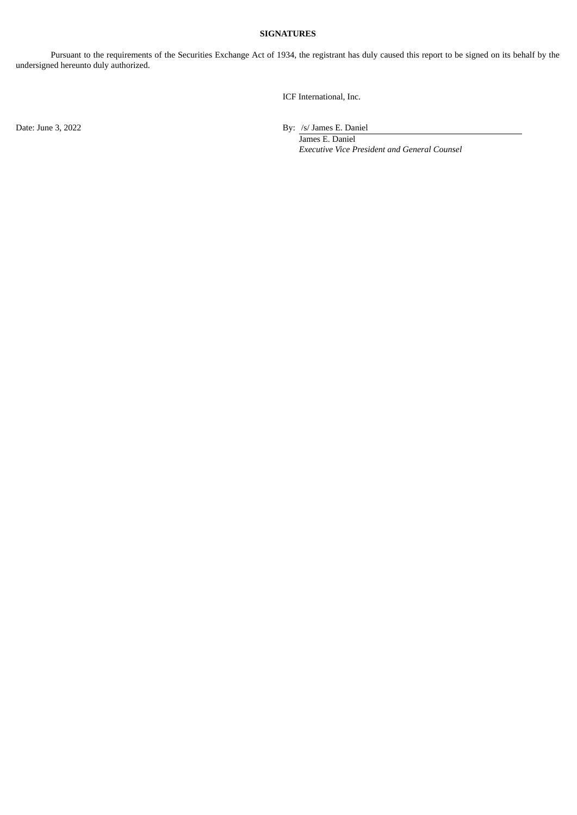## **SIGNATURES**

Pursuant to the requirements of the Securities Exchange Act of 1934, the registrant has duly caused this report to be signed on its behalf by the undersigned hereunto duly authorized.

ICF International, Inc.

Date: June 3, 2022 By: /s/ James E. Daniel

James E. Daniel *Executive Vice President and General Counsel*